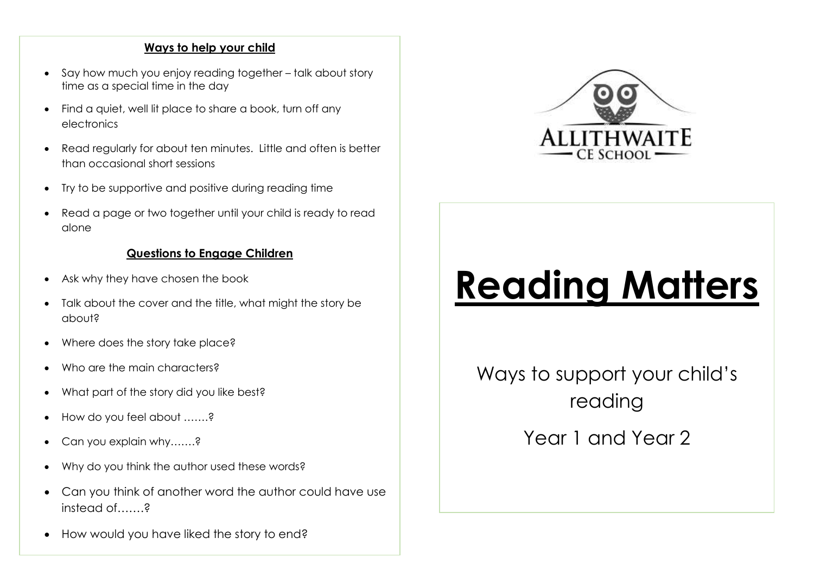# **Ways to help your child**

- Say how much you enjoy reading together talk about story time as a special time in the day
- Find a quiet, well lit place to share a book, turn off any electronics
- Read regularly for about ten minutes. Little and often is better than occasional short sessions
- Try to be supportive and positive during reading time
- Read a page or two together until your child is ready to read alone

# **Questions to Engage Children**

- Ask why they have chosen the book
- Talk about the cover and the title, what might the story be about?
- Where does the story take place?
- Who are the main characters?
- What part of the story did you like best?
- How do you feel about …….?
- Can you explain why.......?
- Why do you think the author used these words?
- Can you think of another word the author could have use instead of a
- How would you have liked the story to end?



# **Reading Matters**

Ways to support your child's reading

Year 1 and Year 2